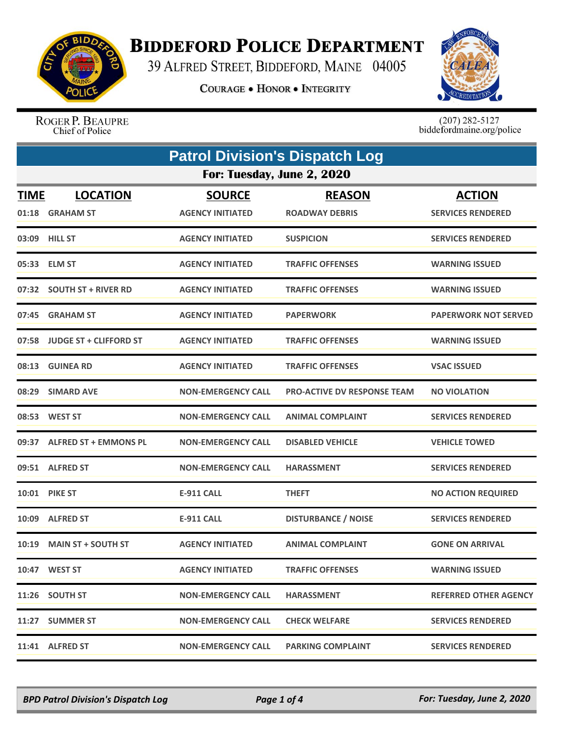

## **BIDDEFORD POLICE DEPARTMENT**

39 ALFRED STREET, BIDDEFORD, MAINE 04005

**COURAGE . HONOR . INTEGRITY** 



ROGER P. BEAUPRE Chief of Police

 $(207)$  282-5127<br>biddefordmaine.org/police

|                      | <b>Patrol Division's Dispatch Log</b> |                                          |                                        |                                           |  |  |
|----------------------|---------------------------------------|------------------------------------------|----------------------------------------|-------------------------------------------|--|--|
|                      | For: Tuesday, June 2, 2020            |                                          |                                        |                                           |  |  |
| <b>TIME</b><br>01:18 | <b>LOCATION</b><br><b>GRAHAM ST</b>   | <b>SOURCE</b><br><b>AGENCY INITIATED</b> | <b>REASON</b><br><b>ROADWAY DEBRIS</b> | <b>ACTION</b><br><b>SERVICES RENDERED</b> |  |  |
| 03:09                | <b>HILL ST</b>                        | <b>AGENCY INITIATED</b>                  | <b>SUSPICION</b>                       | <b>SERVICES RENDERED</b>                  |  |  |
|                      | 05:33 ELM ST                          | <b>AGENCY INITIATED</b>                  | <b>TRAFFIC OFFENSES</b>                | <b>WARNING ISSUED</b>                     |  |  |
|                      | 07:32 SOUTH ST + RIVER RD             | <b>AGENCY INITIATED</b>                  | <b>TRAFFIC OFFENSES</b>                | <b>WARNING ISSUED</b>                     |  |  |
| 07:45                | <b>GRAHAM ST</b>                      | <b>AGENCY INITIATED</b>                  | <b>PAPERWORK</b>                       | <b>PAPERWORK NOT SERVED</b>               |  |  |
|                      | 07:58 JUDGE ST + CLIFFORD ST          | <b>AGENCY INITIATED</b>                  | <b>TRAFFIC OFFENSES</b>                | <b>WARNING ISSUED</b>                     |  |  |
|                      | 08:13 GUINEA RD                       | <b>AGENCY INITIATED</b>                  | <b>TRAFFIC OFFENSES</b>                | <b>VSAC ISSUED</b>                        |  |  |
| 08:29                | <b>SIMARD AVE</b>                     | <b>NON-EMERGENCY CALL</b>                | <b>PRO-ACTIVE DV RESPONSE TEAM</b>     | <b>NO VIOLATION</b>                       |  |  |
|                      | 08:53 WEST ST                         | <b>NON-EMERGENCY CALL</b>                | <b>ANIMAL COMPLAINT</b>                | <b>SERVICES RENDERED</b>                  |  |  |
|                      | 09:37 ALFRED ST + EMMONS PL           | <b>NON-EMERGENCY CALL</b>                | <b>DISABLED VEHICLE</b>                | <b>VEHICLE TOWED</b>                      |  |  |
|                      | 09:51 ALFRED ST                       | <b>NON-EMERGENCY CALL</b>                | <b>HARASSMENT</b>                      | <b>SERVICES RENDERED</b>                  |  |  |
|                      | <b>10:01 PIKE ST</b>                  | <b>E-911 CALL</b>                        | <b>THEFT</b>                           | <b>NO ACTION REQUIRED</b>                 |  |  |
| 10:09                | <b>ALFRED ST</b>                      | <b>E-911 CALL</b>                        | <b>DISTURBANCE / NOISE</b>             | <b>SERVICES RENDERED</b>                  |  |  |
|                      | 10:19 MAIN ST + SOUTH ST              | <b>AGENCY INITIATED</b>                  | <b>ANIMAL COMPLAINT</b>                | <b>GONE ON ARRIVAL</b>                    |  |  |
|                      | 10:47 WEST ST                         | <b>AGENCY INITIATED</b>                  | <b>TRAFFIC OFFENSES</b>                | <b>WARNING ISSUED</b>                     |  |  |
|                      | 11:26 SOUTH ST                        | <b>NON-EMERGENCY CALL</b>                | <b>HARASSMENT</b>                      | <b>REFERRED OTHER AGENCY</b>              |  |  |
|                      | 11:27 SUMMER ST                       | <b>NON-EMERGENCY CALL</b>                | <b>CHECK WELFARE</b>                   | <b>SERVICES RENDERED</b>                  |  |  |
|                      | 11:41 ALFRED ST                       | <b>NON-EMERGENCY CALL</b>                | <b>PARKING COMPLAINT</b>               | <b>SERVICES RENDERED</b>                  |  |  |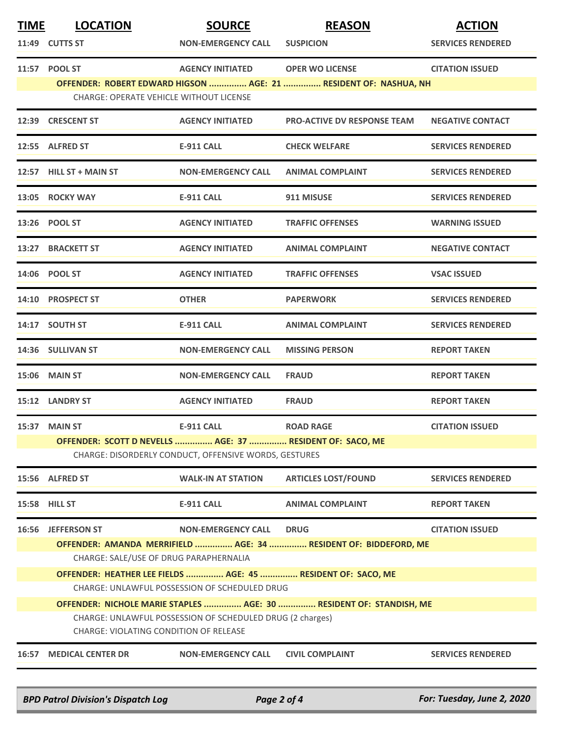| <b>TIME</b> | <b>LOCATION</b><br>11:49 CUTTS ST                                                                                                                                          | <b>SOURCE</b><br><b>NON-EMERGENCY CALL</b> | <b>REASON</b><br><b>SUSPICION</b>                                                          | <b>ACTION</b><br><b>SERVICES RENDERED</b> |  |
|-------------|----------------------------------------------------------------------------------------------------------------------------------------------------------------------------|--------------------------------------------|--------------------------------------------------------------------------------------------|-------------------------------------------|--|
|             | 11:57 POOL ST<br><b>CHARGE: OPERATE VEHICLE WITHOUT LICENSE</b>                                                                                                            | <b>AGENCY INITIATED</b>                    | <b>OPER WO LICENSE</b><br>OFFENDER: ROBERT EDWARD HIGSON  AGE: 21  RESIDENT OF: NASHUA, NH | <b>CITATION ISSUED</b>                    |  |
| 12:39       | <b>CRESCENT ST</b>                                                                                                                                                         | <b>AGENCY INITIATED</b>                    | <b>PRO-ACTIVE DV RESPONSE TEAM</b>                                                         | <b>NEGATIVE CONTACT</b>                   |  |
|             | 12:55 ALFRED ST                                                                                                                                                            | <b>E-911 CALL</b>                          | <b>CHECK WELFARE</b>                                                                       | <b>SERVICES RENDERED</b>                  |  |
|             | 12:57 HILL ST + MAIN ST                                                                                                                                                    | <b>NON-EMERGENCY CALL</b>                  | <b>ANIMAL COMPLAINT</b>                                                                    | <b>SERVICES RENDERED</b>                  |  |
|             | 13:05 ROCKY WAY                                                                                                                                                            | <b>E-911 CALL</b>                          | 911 MISUSE                                                                                 | <b>SERVICES RENDERED</b>                  |  |
|             | 13:26 POOL ST                                                                                                                                                              | <b>AGENCY INITIATED</b>                    | <b>TRAFFIC OFFENSES</b>                                                                    | <b>WARNING ISSUED</b>                     |  |
| 13:27       | <b>BRACKETT ST</b>                                                                                                                                                         | <b>AGENCY INITIATED</b>                    | <b>ANIMAL COMPLAINT</b>                                                                    | <b>NEGATIVE CONTACT</b>                   |  |
|             | 14:06 POOL ST                                                                                                                                                              | <b>AGENCY INITIATED</b>                    | <b>TRAFFIC OFFENSES</b>                                                                    | <b>VSAC ISSUED</b>                        |  |
|             | 14:10 PROSPECT ST                                                                                                                                                          | <b>OTHER</b>                               | <b>PAPERWORK</b>                                                                           | <b>SERVICES RENDERED</b>                  |  |
|             | 14:17 SOUTH ST                                                                                                                                                             | <b>E-911 CALL</b>                          | <b>ANIMAL COMPLAINT</b>                                                                    | <b>SERVICES RENDERED</b>                  |  |
|             | <b>14:36 SULLIVAN ST</b>                                                                                                                                                   | <b>NON-EMERGENCY CALL</b>                  | <b>MISSING PERSON</b>                                                                      | <b>REPORT TAKEN</b>                       |  |
|             | 15:06 MAIN ST                                                                                                                                                              | <b>NON-EMERGENCY CALL</b>                  | <b>FRAUD</b>                                                                               | <b>REPORT TAKEN</b>                       |  |
|             | 15:12 LANDRY ST                                                                                                                                                            | <b>AGENCY INITIATED</b>                    | <b>FRAUD</b>                                                                               | <b>REPORT TAKEN</b>                       |  |
|             | 15:37 MAIN ST                                                                                                                                                              | <b>E-911 CALL</b>                          | <b>ROAD RAGE</b>                                                                           | <b>CITATION ISSUED</b>                    |  |
|             | OFFENDER: SCOTT D NEVELLS  AGE: 37  RESIDENT OF: SACO, ME<br>CHARGE: DISORDERLY CONDUCT, OFFENSIVE WORDS, GESTURES                                                         |                                            |                                                                                            |                                           |  |
|             | 15:56 ALFRED ST                                                                                                                                                            | <b>WALK-IN AT STATION</b>                  | <b>ARTICLES LOST/FOUND</b>                                                                 | <b>SERVICES RENDERED</b>                  |  |
|             | 15:58 HILL ST                                                                                                                                                              | <b>E-911 CALL</b>                          | <b>ANIMAL COMPLAINT</b>                                                                    | <b>REPORT TAKEN</b>                       |  |
| 16:56       | <b>JEFFERSON ST</b>                                                                                                                                                        | <b>NON-EMERGENCY CALL</b>                  | <b>DRUG</b><br>OFFENDER: AMANDA MERRIFIELD  AGE: 34  RESIDENT OF: BIDDEFORD, ME            | <b>CITATION ISSUED</b>                    |  |
|             | CHARGE: SALE/USE OF DRUG PARAPHERNALIA<br>OFFENDER: HEATHER LEE FIELDS  AGE: 45  RESIDENT OF: SACO, ME                                                                     |                                            |                                                                                            |                                           |  |
|             | CHARGE: UNLAWFUL POSSESSION OF SCHEDULED DRUG                                                                                                                              |                                            |                                                                                            |                                           |  |
|             | OFFENDER: NICHOLE MARIE STAPLES  AGE: 30  RESIDENT OF: STANDISH, ME<br>CHARGE: UNLAWFUL POSSESSION OF SCHEDULED DRUG (2 charges)<br>CHARGE: VIOLATING CONDITION OF RELEASE |                                            |                                                                                            |                                           |  |
| 16:57       | <b>MEDICAL CENTER DR</b>                                                                                                                                                   | <b>NON-EMERGENCY CALL</b>                  | <b>CIVIL COMPLAINT</b>                                                                     | <b>SERVICES RENDERED</b>                  |  |
|             |                                                                                                                                                                            |                                            |                                                                                            |                                           |  |

*BPD Patrol Division's Dispatch Log Page 2 of 4 For: Tuesday, June 2, 2020*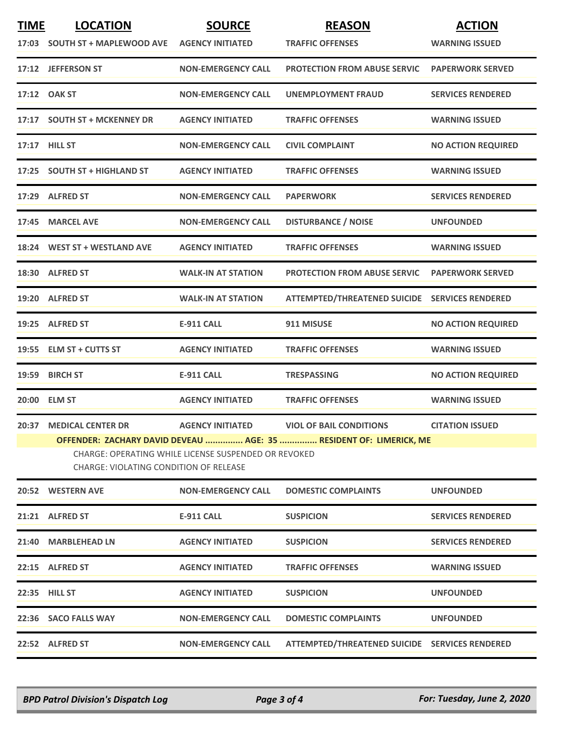| <b>TIME</b>   | <b>LOCATION</b>                                                                                                                                                      | <b>SOURCE</b>             | <b>REASON</b>                                  | <b>ACTION</b>             |  |  |
|---------------|----------------------------------------------------------------------------------------------------------------------------------------------------------------------|---------------------------|------------------------------------------------|---------------------------|--|--|
|               | 17:03 SOUTH ST + MAPLEWOOD AVE                                                                                                                                       | <b>AGENCY INITIATED</b>   | <b>TRAFFIC OFFENSES</b>                        | <b>WARNING ISSUED</b>     |  |  |
|               | 17:12 JEFFERSON ST                                                                                                                                                   | <b>NON-EMERGENCY CALL</b> | <b>PROTECTION FROM ABUSE SERVIC</b>            | <b>PAPERWORK SERVED</b>   |  |  |
| 17:12         | <b>OAK ST</b>                                                                                                                                                        | <b>NON-EMERGENCY CALL</b> | UNEMPLOYMENT FRAUD                             | <b>SERVICES RENDERED</b>  |  |  |
|               | 17:17 SOUTH ST + MCKENNEY DR                                                                                                                                         | <b>AGENCY INITIATED</b>   | <b>TRAFFIC OFFENSES</b>                        | <b>WARNING ISSUED</b>     |  |  |
| 17:17 HILL ST |                                                                                                                                                                      | <b>NON-EMERGENCY CALL</b> | <b>CIVIL COMPLAINT</b>                         | <b>NO ACTION REQUIRED</b> |  |  |
|               | 17:25 SOUTH ST + HIGHLAND ST                                                                                                                                         | <b>AGENCY INITIATED</b>   | <b>TRAFFIC OFFENSES</b>                        | <b>WARNING ISSUED</b>     |  |  |
|               | 17:29 ALFRED ST                                                                                                                                                      | <b>NON-EMERGENCY CALL</b> | <b>PAPERWORK</b>                               | <b>SERVICES RENDERED</b>  |  |  |
|               | 17:45 MARCEL AVE                                                                                                                                                     | <b>NON-EMERGENCY CALL</b> | <b>DISTURBANCE / NOISE</b>                     | <b>UNFOUNDED</b>          |  |  |
|               | 18:24 WEST ST + WESTLAND AVE                                                                                                                                         | <b>AGENCY INITIATED</b>   | <b>TRAFFIC OFFENSES</b>                        | <b>WARNING ISSUED</b>     |  |  |
|               | 18:30 ALFRED ST                                                                                                                                                      | <b>WALK-IN AT STATION</b> | <b>PROTECTION FROM ABUSE SERVIC</b>            | <b>PAPERWORK SERVED</b>   |  |  |
|               | 19:20 ALFRED ST                                                                                                                                                      | <b>WALK-IN AT STATION</b> | ATTEMPTED/THREATENED SUICIDE SERVICES RENDERED |                           |  |  |
|               | 19:25 ALFRED ST                                                                                                                                                      | <b>E-911 CALL</b>         | 911 MISUSE                                     | <b>NO ACTION REQUIRED</b> |  |  |
|               | 19:55 ELM ST + CUTTS ST                                                                                                                                              | <b>AGENCY INITIATED</b>   | <b>TRAFFIC OFFENSES</b>                        | <b>WARNING ISSUED</b>     |  |  |
| 19:59         | <b>BIRCH ST</b>                                                                                                                                                      | <b>E-911 CALL</b>         | <b>TRESPASSING</b>                             | <b>NO ACTION REQUIRED</b> |  |  |
|               | 20:00 ELM ST                                                                                                                                                         | <b>AGENCY INITIATED</b>   | <b>TRAFFIC OFFENSES</b>                        | <b>WARNING ISSUED</b>     |  |  |
|               | 20:37 MEDICAL CENTER DR                                                                                                                                              | <b>AGENCY INITIATED</b>   | <b>VIOL OF BAIL CONDITIONS</b>                 | <b>CITATION ISSUED</b>    |  |  |
|               | OFFENDER: ZACHARY DAVID DEVEAU  AGE: 35  RESIDENT OF: LIMERICK, ME<br>CHARGE: OPERATING WHILE LICENSE SUSPENDED OR REVOKED<br>CHARGE: VIOLATING CONDITION OF RELEASE |                           |                                                |                           |  |  |
|               | 20:52 WESTERN AVE                                                                                                                                                    | <b>NON-EMERGENCY CALL</b> | <b>DOMESTIC COMPLAINTS</b>                     | <b>UNFOUNDED</b>          |  |  |
|               | 21:21 ALFRED ST                                                                                                                                                      | <b>E-911 CALL</b>         | <b>SUSPICION</b>                               | <b>SERVICES RENDERED</b>  |  |  |
|               | 21:40 MARBLEHEAD LN                                                                                                                                                  | <b>AGENCY INITIATED</b>   | <b>SUSPICION</b>                               | <b>SERVICES RENDERED</b>  |  |  |
|               | 22:15 ALFRED ST                                                                                                                                                      | <b>AGENCY INITIATED</b>   | <b>TRAFFIC OFFENSES</b>                        | <b>WARNING ISSUED</b>     |  |  |
|               | 22:35 HILL ST                                                                                                                                                        | <b>AGENCY INITIATED</b>   | <b>SUSPICION</b>                               | <b>UNFOUNDED</b>          |  |  |
|               | 22:36 SACO FALLS WAY                                                                                                                                                 | <b>NON-EMERGENCY CALL</b> | <b>DOMESTIC COMPLAINTS</b>                     | <b>UNFOUNDED</b>          |  |  |
|               | 22:52 ALFRED ST                                                                                                                                                      | <b>NON-EMERGENCY CALL</b> | ATTEMPTED/THREATENED SUICIDE SERVICES RENDERED |                           |  |  |